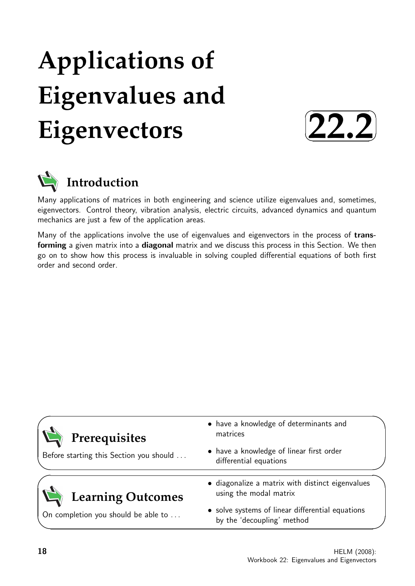# **Applications of Eigenvalues and Eigenvectors**





Many applications of matrices in both engineering and science utilize eigenvalues and, sometimes, eigenvectors. Control theory, vibration analysis, electric circuits, advanced dynamics and quantum mechanics are just a few of the application areas.

Many of the applications involve the use of eigenvalues and eigenvectors in the process of transforming a given matrix into a diagonal matrix and we discuss this process in this Section. We then go on to show how this process is invaluable in solving coupled differential equations of both first order and second order.

| Prerequisites                           | • have a knowledge of determinants and<br>matrices<br>• have a knowledge of linear first order |  |
|-----------------------------------------|------------------------------------------------------------------------------------------------|--|
| Before starting this Section you should | differential equations                                                                         |  |
| <b>Learning Outcomes</b>                | • diagonalize a matrix with distinct eigenvalues<br>using the modal matrix                     |  |
| On completion you should be able to     | • solve systems of linear differential equations<br>by the 'decoupling' method                 |  |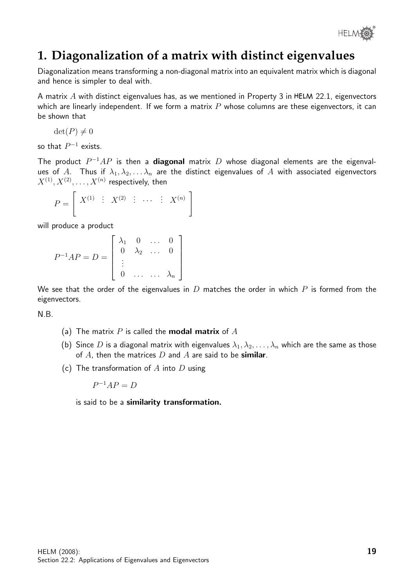

# **1. Diagonalization of a matrix with distinct eigenvalues**

Diagonalization means transforming a non-diagonal matrix into an equivalent matrix which is diagonal and hence is simpler to deal with.

A matrix  $A$  with distinct eigenvalues has, as we mentioned in Property 3 in HELM 22.1, eigenvectors which are linearly independent. If we form a matrix  $P$  whose columns are these eigenvectors, it can be shown that

$$
\det(P) \neq 0
$$

so that  $P^{-1}$  exists.

The product  $P^{-1}AP$  is then a diagonal matrix D whose diagonal elements are the eigenvalues of A. Thus if  $\lambda_1, \lambda_2, \ldots \lambda_n$  are the distinct eigenvalues of A with associated eigenvectors  $X^{(1)},X^{(2)},\ldots,X^{(n)}$  respectively, then

$$
P = \left[ \begin{array}{cccc} X^{(1)} & \vdots & X^{(2)} & \vdots & \cdots & \vdots & X^{(n)} \end{array} \right]
$$

will produce a product

$$
P^{-1}AP = D = \begin{bmatrix} \lambda_1 & 0 & \dots & 0 \\ 0 & \lambda_2 & \dots & 0 \\ \vdots & & & \\ 0 & \dots & \dots & \lambda_n \end{bmatrix}
$$

We see that the order of the eigenvalues in  $D$  matches the order in which  $P$  is formed from the eigenvectors.

N.B.

- (a) The matrix  $P$  is called the **modal matrix** of  $A$
- (b) Since D is a diagonal matrix with eigenvalues  $\lambda_1, \lambda_2, \ldots, \lambda_n$  which are the same as those of A, then the matrices  $D$  and  $A$  are said to be **similar**.
- (c) The transformation of  $A$  into  $D$  using

 $P^{-1}AP = D$ 

is said to be a similarity transformation.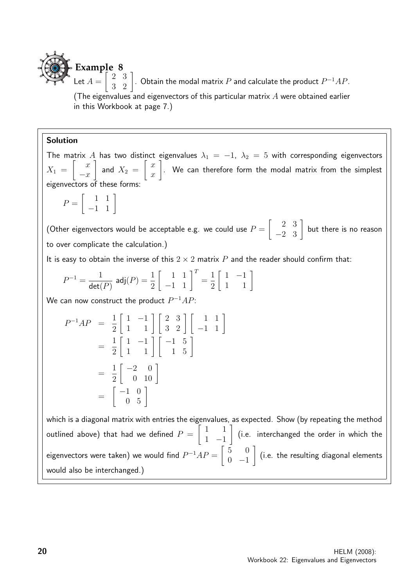

(The eigenvalues and eigenvectors of this particular matrix  $A$  were obtained earlier in this Workbook at page 7.)

#### Solution

The matrix A has two distinct eigenvalues  $\lambda_1 = -1$ ,  $\lambda_2 = 5$  with corresponding eigenvectors  $X_1 =$  $\begin{bmatrix} x \end{bmatrix}$  $-x$ 1 and  $X_2 =$  $\lceil x \rceil$  $\overline{x}$ 1 . We can therefore form the modal matrix from the simplest eigenvectors of these forms:

 $P =$  $\begin{bmatrix} 1 & 1 \\ -1 & 1 \end{bmatrix}$ 

(Other eigenvectors would be acceptable e.g. we could use  $P=\emptyset$  $\begin{bmatrix} 2 & 3 \\ -2 & 3 \end{bmatrix}$  but there is no reason to over complicate the calculation.)

It is easy to obtain the inverse of this  $2 \times 2$  matrix P and the reader should confirm that:

$$
P^{-1} = \frac{1}{\det(P)} \text{ adj}(P) = \frac{1}{2} \begin{bmatrix} 1 & 1 \\ -1 & 1 \end{bmatrix}^T = \frac{1}{2} \begin{bmatrix} 1 & -1 \\ 1 & 1 \end{bmatrix}
$$

We can now construct the product  $P^{-1}AP$ :

$$
P^{-1}AP = \frac{1}{2} \begin{bmatrix} 1 & -1 \\ 1 & 1 \end{bmatrix} \begin{bmatrix} 2 & 3 \\ 3 & 2 \end{bmatrix} \begin{bmatrix} 1 & 1 \\ -1 & 1 \end{bmatrix}
$$
  
=  $\frac{1}{2} \begin{bmatrix} 1 & -1 \\ 1 & 1 \end{bmatrix} \begin{bmatrix} -1 & 5 \\ 1 & 5 \end{bmatrix}$   
=  $\frac{1}{2} \begin{bmatrix} -2 & 0 \\ 0 & 10 \end{bmatrix}$   
=  $\begin{bmatrix} -1 & 0 \\ 0 & 5 \end{bmatrix}$ 

which is a diagonal matrix with entries the eigenvalues, as expected. Show (by repeating the method outlined above) that had we defined  $P=\emptyset$  $\begin{bmatrix} 1 & 1 \end{bmatrix}$ 1 −1 1 (i.e. interchanged the order in which the eigenvectors were taken) we would find  $P^{-1}AP = \begin{bmatrix} 5 & 0 \ 0 & 1 \end{bmatrix}$  $0 -1$ 1 (i.e. the resulting diagonal elements would also be interchanged.)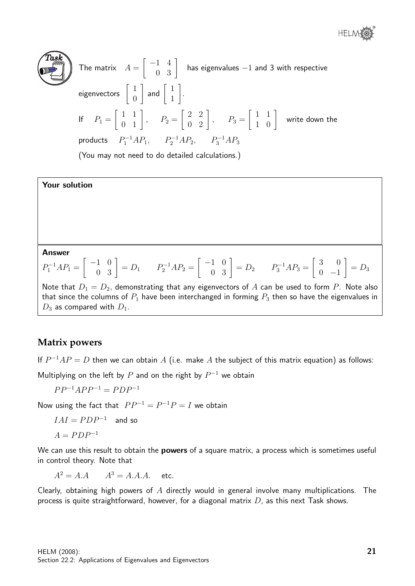

The matrix  $A =$  $\begin{bmatrix} -1 & 4 \\ 0 & 3 \end{bmatrix}$  has eigenvalues  $-1$  and 3 with respective eigenvectors  $\begin{bmatrix} 1 \\ 0 \end{bmatrix}$ 0  $\begin{bmatrix} 1 \\ 1 \end{bmatrix}$  and  $\begin{bmatrix} 1 \\ 1 \end{bmatrix}$ 1 1 . If  $P_1 =$  $\left[\begin{array}{cc} 1 & 1 \\ 0 & 1 \end{array}\right], \quad P_2 =$  $\left[\begin{array}{cc} 2 & 2 \\ 0 & 2 \end{array}\right], \quad P_3 =$  $\begin{bmatrix} 1 & 1 \\ 1 & 0 \end{bmatrix}$  write down the products  $P_1^{-1}AP_1$ ,  $P_2^{-1}AP_2$ ,  $P_3^{-1}AP_3$ 

(You may not need to do detailed calculations.)

#### Your solution

Answer

$$
P_1^{-1}AP_1 = \begin{bmatrix} -1 & 0 \\ 0 & 3 \end{bmatrix} = D_1 \qquad P_2^{-1}AP_2 = \begin{bmatrix} -1 & 0 \\ 0 & 3 \end{bmatrix} = D_2 \qquad P_3^{-1}AP_3 = \begin{bmatrix} 3 & 0 \\ 0 & -1 \end{bmatrix} = D_3
$$

Note that  $D_1 = D_2$ , demonstrating that any eigenvectors of A can be used to form P. Note also that since the columns of  $P_1$  have been interchanged in forming  $P_3$  then so have the eigenvalues in  $D_3$  as compared with  $D_1$ .

## **Matrix powers**

If  $P^{-1}AP = D$  then we can obtain A (i.e. make A the subject of this matrix equation) as follows:

Multiplying on the left by  $P$  and on the right by  $P^{-1}$  we obtain

 $PP^{-1}APP^{-1} = PDP^{-1}$ 

Now using the fact that  $PP^{-1} = P^{-1}P = I$  we obtain

$$
IAI= PDP^{-1} \quad \hbox{and so} \quad
$$

$$
A = PDP^{-1}
$$

We can use this result to obtain the **powers** of a square matrix, a process which is sometimes useful in control theory. Note that

 $A^2 = A.A$   $A^3 = A.A.A.$  etc.

Clearly, obtaining high powers of  $A$  directly would in general involve many multiplications. The process is quite straightforward, however, for a diagonal matrix  $D$ , as this next Task shows.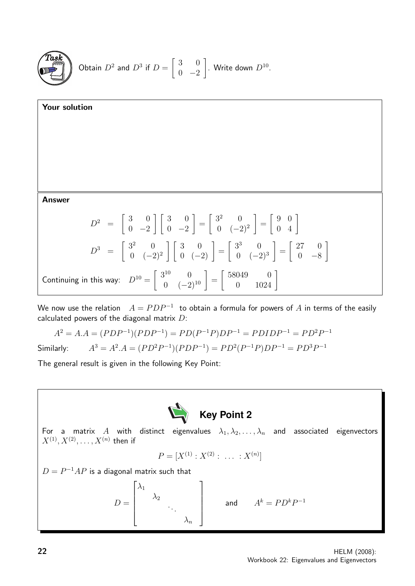

Obtain 
$$
D^2
$$
 and  $D^3$  if  $D = \begin{bmatrix} 3 & 0 \\ 0 & -2 \end{bmatrix}$ . Write down  $D^{10}$ .

Your solution Answer  $D^2 = \begin{bmatrix} 3 & 0 \\ 0 & 3 \end{bmatrix}$  $0 -2$  $\begin{bmatrix} 3 & 0 \\ 0 & 0 \\ 0 & 0 \\ 0 & 0 \\ 0 & 0 & 0 \\ 0 & 0 & 0 \\ 0 & 0 & 0 \\ 0 & 0 & 0 & 0 \\ 0 & 0 & 0 & 0 \\ 0 & 0 & 0 & 0 \\ 0 & 0 & 0 & 0 & 0 \\ 0 & 0 & 0 & 0 & 0 \\ 0 & 0 & 0 & 0 & 0 \\ 0 & 0 & 0 & 0 & 0 & 0 \\ 0 & 0 & 0 & 0 & 0 & 0 \\ 0 & 0 & 0 & 0 & 0 & 0 \\ 0 & 0 & 0 & 0 & 0 & 0 & 0 \\ 0 & 0 &$  $0 -2$ 1 =  $\begin{bmatrix} 3^2 & 0 \end{bmatrix}$  $0 \quad (-2)^2$ 1 =  $\left[\begin{array}{cc} 9 & 0 \\ 0 & 4 \end{array}\right]$  $D^3 = \begin{bmatrix} 3^2 & 0 \\ 0 & 0 \end{bmatrix}$  $0 \quad (-2)^2$  $\begin{bmatrix} 3 & 0 \\ 0 & (-2) \end{bmatrix} =$  $\left[3^3\right]0$  $0 \quad (-2)^3$ 1 =  $\begin{bmatrix} 27 & 0 \end{bmatrix}$ 0 −8 1 Continuing in this way:  $D^{10} = \begin{bmatrix} 3^{10} & 0 \\ 0 & (-2)^{10} \end{bmatrix} =$  $\left[\begin{array}{cc} 58049 & 0 \\ 0 & 1024 \end{array}\right]$ 

We now use the relation  $\;\; A = P D P^{-1} \;$  to obtain a formula for powers of  $A$  in terms of the easily calculated powers of the diagonal matrix  $D$ :

$$
A2 = A.A = (PDP-1)(PDP-1) = PD(P-1P)DP-1 = PDIDP-1 = PD2P-1
$$

Similarly:  $A^3 = A^2.A = (PD^2P^{-1})(PDP^{-1}) = PD^2(P^{-1}P)DP^{-1} = PD^3P^{-1}$ 

The general result is given in the following Key Point:



For a matrix  $A$  with distinct eigenvalues  $\lambda_1, \lambda_2, \ldots, \lambda_n$  and associated eigenvectors  $X^{(1)},X^{(2)},\ldots,X^{(n)}$  then if

$$
P = [X^{(1)} : X^{(2)} : \dots : X^{(n)}]
$$

 $D = P^{-1}AP$  is a diagonal matrix such that

$$
D = \begin{bmatrix} \lambda_1 & & & \\ & \lambda_2 & & \\ & & \ddots & \\ & & & \lambda_n \end{bmatrix} \quad \text{and} \quad A^k = PD^kP^{-1}
$$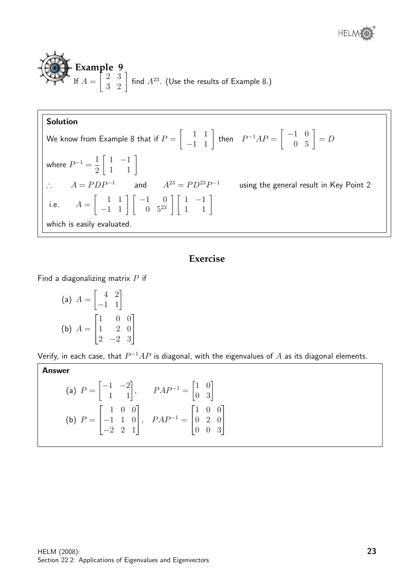**Example 9**  
If 
$$
A = \begin{bmatrix} 2 & 3 \\ 3 & 2 \end{bmatrix}
$$
 find  $A^{23}$ . (Use the results of Example 8.)

#### Solution

We know from Example 8 that if  $P=$  $\begin{bmatrix} 1 & 1 \\ -1 & 1 \end{bmatrix}$  then  $P^{-1}AP = \begin{bmatrix} -1 & 0 \\ 0 & 5 \end{bmatrix} = D$ where  $P^{-1} = \frac{1}{2}$ 2  $\left[\begin{array}{cc} 1 & -1 \\ 1 & 1 \end{array}\right]$ ∴  $A = PDP^{-1}$  and  $A^{23} = PD^{23}P^{-1}$  using the general result in Key Point 2 i.e.  $A =$  $\begin{bmatrix} 1 & 1 \\ -1 & 1 \end{bmatrix} \begin{bmatrix} -1 & 0 \\ 0 & 5^{23} \end{bmatrix} \begin{bmatrix} 1 & -1 \\ 1 & 1 \end{bmatrix}$ which is easily evaluated.

### **Exercise**

Find a diagonalizing matrix  $P$  if

(a) 
$$
A = \begin{bmatrix} 4 & 2 \\ -1 & 1 \end{bmatrix}
$$
  
\n(b)  $A = \begin{bmatrix} 1 & 0 & 0 \\ 1 & 2 & 0 \\ 2 & -2 & 3 \end{bmatrix}$ 

Verify, in each case, that  $P^{-1}AP$  is diagonal, with the eigenvalues of  $A$  as its diagonal elements.

Answer (a)  $P =$  $\begin{bmatrix} -1 & -2 \\ 1 & 1 \end{bmatrix}$ ,  $PAP^{-1} = \begin{bmatrix} 1 & 0 \\ 0 & 3 \end{bmatrix}$  $(b)$   $P =$  $\sqrt{ }$  $\overline{1}$ 1 0 0 −1 1 0 −2 2 1 1  $\Big\}, \quad PAP^{-1} =$  $\sqrt{ }$  $\overline{\phantom{a}}$ 1 0 0 0 2 0 0 0 3 1  $\overline{1}$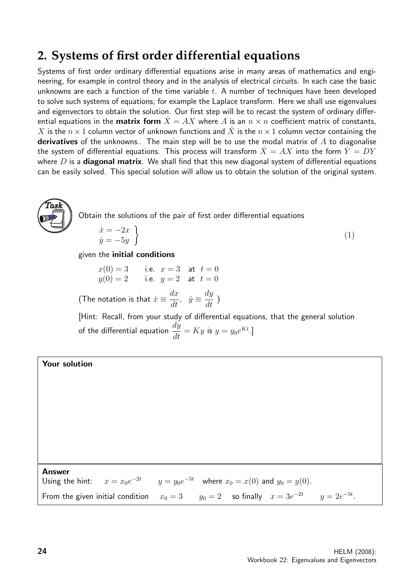# **2. Systems of first order differential equations**

Systems of first order ordinary differential equations arise in many areas of mathematics and engineering, for example in control theory and in the analysis of electrical circuits. In each case the basic unknowns are each a function of the time variable  $t$ . A number of techniques have been developed to solve such systems of equations; for example the Laplace transform. Here we shall use eigenvalues and eigenvectors to obtain the solution. Our first step will be to recast the system of ordinary differential equations in the **matrix form**  $\dot{X} = AX$  where A is an  $n \times n$  coefficient matrix of constants,  $X$  is the  $n \times 1$  column vector of unknown functions and  $\dot{X}$  is the  $n \times 1$  column vector containing the derivatives of the unknowns.. The main step will be to use the modal matrix of  $A$  to diagonalise the system of differential equations. This process will transform  $\dot{X} = AX$  into the form  $\dot{Y} = DY$ where  $D$  is a **diagonal matrix**. We shall find that this new diagonal system of differential equations can be easily solved. This special solution will allow us to obtain the solution of the original system.



Obtain the solutions of the pair of first order differential equations

$$
\begin{aligned}\n\dot{x} &= -2x \\
\dot{y} &= -5y\n\end{aligned} \tag{1}
$$

#### given the initial conditions

$$
x(0) = 3
$$
 i.e.  $x = 3$  at  $t = 0$   
 $y(0) = 2$  i.e.  $y = 2$  at  $t = 0$ 

(The notation is that  $\dot{x} \equiv \frac{dx}{dt}$ ,  $\dot{y} \equiv \frac{dy}{dt}$  $\frac{dg}{dt}$ )

[Hint: Recall, from your study of differential equations, that the general solution of the differential equation  $\frac{dy}{dt}$  $\frac{dy}{dt} = Ky$  is  $y = y_0 e^{Kt}$ .]

#### Your solution

Answer Using the hint:  $y = y_0 e^{-5t}$  where  $x_0 = x(0)$  and  $y_0 = y(0)$ . From the given initial condition  $x_0 = 3$   $y_0 = 2$  so finally  $x = 3e^{-2t}$   $y = 2e^{-5t}$ .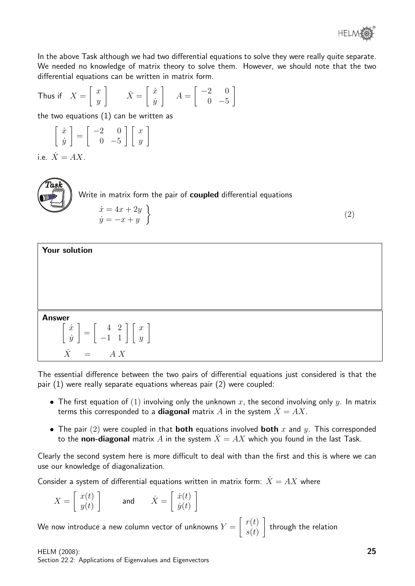

(2)

In the above Task although we had two differential equations to solve they were really quite separate. We needed no knowledge of matrix theory to solve them. However, we should note that the two differential equations can be written in matrix form.

Thus if 
$$
X = \begin{bmatrix} x \\ y \end{bmatrix}
$$
  $\dot{X} = \begin{bmatrix} \dot{x} \\ \dot{y} \end{bmatrix}$   $A = \begin{bmatrix} -2 & 0 \\ 0 & -5 \end{bmatrix}$   
the two equations (1) can be written as

$$
\left[\begin{array}{c}\n\dot{x} \\
\dot{y}\n\end{array}\right] = \left[\begin{array}{cc}\n-2 & 0 \\
0 & -5\n\end{array}\right] \left[\begin{array}{c}x \\
y\n\end{array}\right]
$$

i.e.  $\dot{X} = AX$ .



| Your solution                                                                                                                                                                                 |
|-----------------------------------------------------------------------------------------------------------------------------------------------------------------------------------------------|
|                                                                                                                                                                                               |
|                                                                                                                                                                                               |
|                                                                                                                                                                                               |
| <b>Answer</b>                                                                                                                                                                                 |
| $\left[ \begin{array}{c} \dot{x} \\ \dot{y} \end{array} \right] = \left[ \begin{array}{cc} \phantom{-}4 & 2 \\ -1 & 1 \end{array} \right] \left[ \begin{array}{c} x \\ y \end{array} \right]$ |
| $\dot{X}$ =<br>A X                                                                                                                                                                            |

The essential difference between the two pairs of differential equations just considered is that the pair (1) were really separate equations whereas pair (2) were coupled:

- The first equation of (1) involving only the unknown x, the second involving only y. In matrix terms this corresponded to a **diagonal** matrix A in the system  $\dot{X} = AX$ .
- The pair (2) were coupled in that **both** equations involved **both** x and y. This corresponded to the **non-diagonal** matrix A in the system  $\dot{X} = AX$  which you found in the last Task.

Clearly the second system here is more difficult to deal with than the first and this is where we can use our knowledge of diagonalization.

Consider a system of differential equations written in matrix form:  $\dot{X} = AX$  where

$$
X = \begin{bmatrix} x(t) \\ y(t) \end{bmatrix} \quad \text{and} \quad \dot{X} = \begin{bmatrix} \dot{x}(t) \\ \dot{y}(t) \end{bmatrix}
$$

We now introduce a new column vector of unknowns  $Y=\emptyset$  $\lceil r(t) \rceil$  $s(t)$ 1 through the relation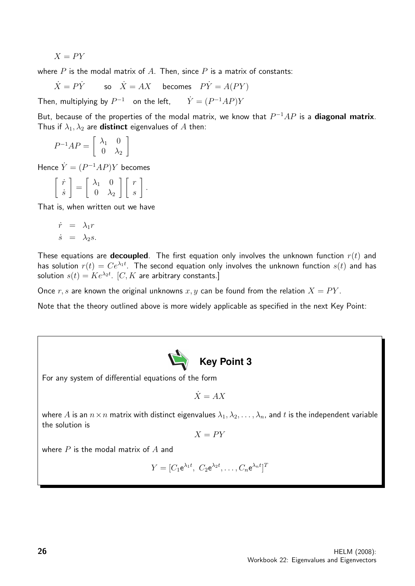$X = PY$ 

where  $P$  is the modal matrix of  $A$ . Then, since  $P$  is a matrix of constants:

 $\dot{X} = P\dot{Y}$  so  $\dot{X} = AX$  becomes  $P\dot{Y} = A(PY)$ 

Then, multiplying by  $P^{-1}$  on the left,  $\dot{Y} = (P^{-1}AP)Y$ 

But, because of the properties of the modal matrix, we know that  $P^{-1}AP$  is a **diagonal matrix**. Thus if  $\lambda_1, \lambda_2$  are **distinct** eigenvalues of A then:

$$
P^{-1}AP = \left[ \begin{array}{cc} \lambda_1 & 0 \\ 0 & \lambda_2 \end{array} \right]
$$

Hence  $\dot{Y} = (P^{-1}AP)Y$  becomes

$$
\left[\begin{array}{c} \dot{r} \\ \dot{s} \end{array}\right] = \left[\begin{array}{cc} \lambda_1 & 0 \\ 0 & \lambda_2 \end{array}\right] \left[\begin{array}{c} r \\ s \end{array}\right].
$$

That is, when written out we have

$$
\dot{r} = \lambda_1 r
$$
  

$$
\dot{s} = \lambda_2 s.
$$

These equations are **decoupled**. The first equation only involves the unknown function  $r(t)$  and has solution  $r(t) = Ce^{\lambda_1 t}$ . The second equation only involves the unknown function  $s(t)$  and has solution  $s(t) = Ke^{\lambda_2 t}$ .  $[C, K]$  are arbitrary constants.]

Once r, s are known the original unknowns x, y can be found from the relation  $X = PY$ .

Note that the theory outlined above is more widely applicable as specified in the next Key Point:



For any system of differential equations of the form

$$
\dot{X} = AX
$$

where A is an  $n \times n$  matrix with distinct eigenvalues  $\lambda_1, \lambda_2, \ldots, \lambda_n$ , and t is the independent variable the solution is

$$
X=PY
$$

where  $P$  is the modal matrix of  $A$  and

 $Y=[C_1\mathsf{e}^{\lambda_1t},\ C_2\mathsf{e}^{\lambda_2t},\ldots,C_n\mathsf{e}^{\lambda_n t}]^T$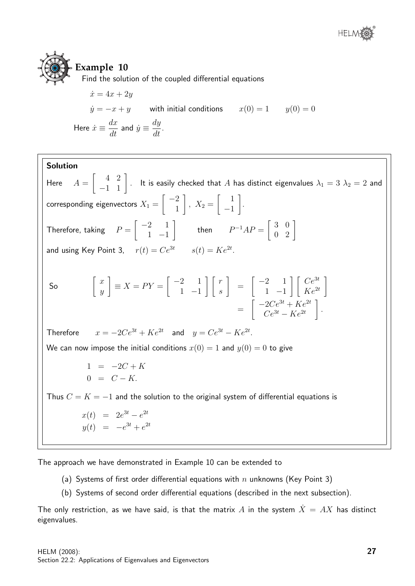

## **Example 10**

Find the solution of the coupled differential equations

$$
\begin{aligned}\n\dot{x} &= 4x + 2y \\
\dot{y} &= -x + y \quad \text{with initial conditions} \quad x(0) = 1 \quad y(0) = 0\n\end{aligned}
$$
\nHere  $\dot{x} \equiv \frac{dx}{dt}$  and  $\dot{y} \equiv \frac{dy}{dt}$ .

Solution Here  $A =$  $\begin{bmatrix} 4 & 2 \ -1 & 1 \end{bmatrix}$ . It is easily checked that  $A$  has distinct eigenvalues  $\lambda_1 = 3$   $\lambda_2 = 2$  and corresponding eigenvectors  $X_1 =$  $\lceil -2 \rceil$ 1 1 ,  $X_2 =$  $\begin{bmatrix} 1 \end{bmatrix}$ −1 1 . Therefore, taking  $P =$  $\begin{bmatrix} -2 & 1 \end{bmatrix}$ 1 −1 1 then  $P^{-1}AP = \left[ \begin{array}{cc} 3 & 0 \ 0 & 2 \end{array} \right]$ and using Key Point 3,  $r(t) = Ce^{3t}$   $s(t) = Ke^{2t}$ . So  $\left[\begin{array}{c} x \end{array}\right]$  $\hat{y}$ 1  $\equiv X = PY =$  $\lceil -2 \rceil$  1 1 −1  $\lceil \lceil r \rceil$ s 1 =  $\begin{bmatrix} -2 & 1 \end{bmatrix}$ 1 −1  $\lceil \int Ce^{3t}$  $Ke^{2t}$ 1  $= \begin{vmatrix} 2C & | & AC \\ Ce^{3t} - Ke^{2t} & \end{vmatrix}$ .  $\left[ -2Ce^{3t} + Ke^{2t} \right]$ Therefore  $x = -2Ce^{3t} + Ke^{2t}$  and  $y = Ce^{3t} - Ke^{2t}$ . We can now impose the initial conditions  $x(0) = 1$  and  $y(0) = 0$  to give  $1 = -2C + K$  $0 = C - K$ Thus  $C = K = -1$  and the solution to the original system of differential equations is  $x(t) = 2e^{3t} - e^{2t}$  $y(t) = -e^{3t} + e^{2t}$ 

The approach we have demonstrated in Example 10 can be extended to

- (a) Systems of first order differential equations with  $n$  unknowns (Key Point 3)
- (b) Systems of second order differential equations (described in the next subsection).

The only restriction, as we have said, is that the matrix A in the system  $\dot{X} = AX$  has distinct eigenvalues.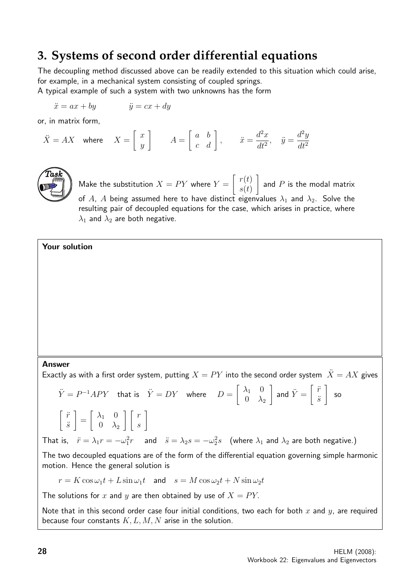## **3. Systems of second order differential equations**

The decoupling method discussed above can be readily extended to this situation which could arise, for example, in a mechanical system consisting of coupled springs.

A typical example of such a system with two unknowns has the form

$$
\ddot{x} = ax + by \qquad \ddot{y} = cx + dy
$$

or, in matrix form,

$$
\ddot{X} = AX \quad \text{where} \quad X = \begin{bmatrix} x \\ y \end{bmatrix} \qquad A = \begin{bmatrix} a & b \\ c & d \end{bmatrix}, \qquad \ddot{x} = \frac{d^2x}{dt^2}, \quad \ddot{y} = \frac{d^2y}{dt^2}
$$



Make the substitution  $X=PY$  where  $Y=$  $\lceil r(t) \rceil$  $s(t)$ 1 and  $P$  is the modal matrix of A, A being assumed here to have distinct eigenvalues  $\lambda_1$  and  $\lambda_2$ . Solve the resulting pair of decoupled equations for the case, which arises in practice, where  $\lambda_1$  and  $\lambda_2$  are both negative.

#### Your solution

#### Answer

Exactly as with a first order system, putting  $X = PY$  into the second order system  $\ddot{X} = AX$  gives

$$
\ddot{Y} = P^{-1}APY \text{ that is } \ddot{Y} = DY \text{ where } D = \begin{bmatrix} \lambda_1 & 0 \\ 0 & \lambda_2 \end{bmatrix} \text{ and } \ddot{Y} = \begin{bmatrix} \ddot{r} \\ \ddot{s} \end{bmatrix} \text{ so}
$$
\n
$$
\begin{bmatrix} \ddot{r} \\ \ddot{s} \end{bmatrix} = \begin{bmatrix} \lambda_1 & 0 \\ 0 & \lambda_2 \end{bmatrix} \begin{bmatrix} r \\ s \end{bmatrix}
$$
\nThat is,  $\ddot{r} = \lambda_1 r = -\omega_1^2 r$  and  $\ddot{s} = \lambda_2 s = -\omega_2^2 s$  (where  $\lambda_1$  and  $\lambda_2$  are both negative.)

The two decoupled equations are of the form of the differential equation governing simple harmonic motion. Hence the general solution is

$$
r = K\cos\omega_1 t + L\sin\omega_1 t \quad \text{and} \quad s = M\cos\omega_2 t + N\sin\omega_2 t
$$

The solutions for x and y are then obtained by use of  $X = PY$ .

Note that in this second order case four initial conditions, two each for both x and y, are required because four constants  $K, L, M, N$  arise in the solution.